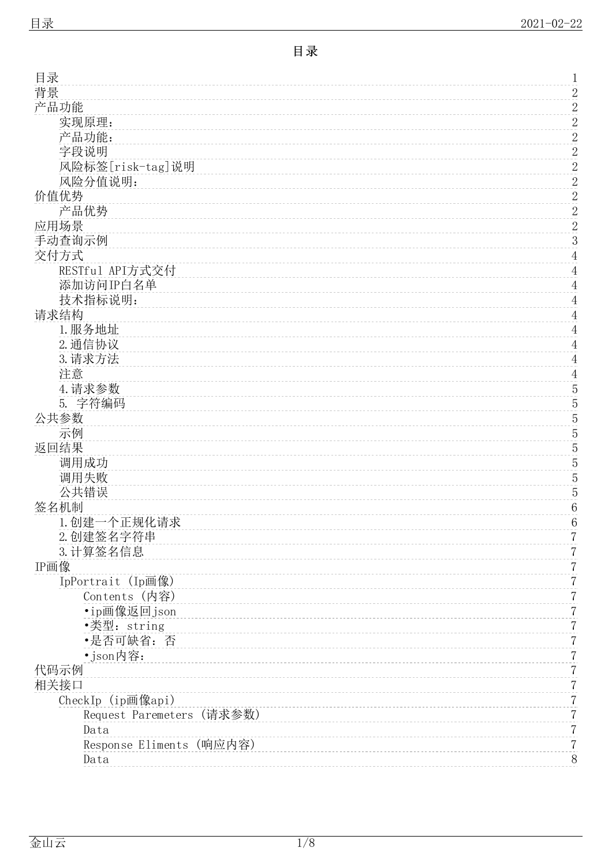<span id="page-0-0"></span>

| 目录                        | 1                |
|---------------------------|------------------|
| 背景                        | $\overline{c}$   |
| 产品功能                      | $\overline{c}$   |
| 实现原理:                     | $\overline{c}$   |
| 产品功能:                     | $\overline{2}$   |
| 字段说明                      | $\boldsymbol{2}$ |
| 风险标签[risk-tag]说明          | $\overline{c}$   |
| 风险分值说明:                   |                  |
| 价值优势                      | $\frac{2}{2}$    |
| 产品优势                      | $\overline{2}$   |
|                           |                  |
| 应用场景                      | $\overline{c}$   |
| 手动查询示例                    | 3                |
| 交付方式                      | $\overline{4}$   |
| RESTful API方式交付           | $\overline{4}$   |
| 添加访问IP白名单                 | $\overline{4}$   |
| 技术指标说明:                   | $\overline{4}$   |
| 请求结构                      | $\overline{4}$   |
| 1. 服务地址                   | $\overline{4}$   |
| 2. 通信协议                   | $\overline{4}$   |
| 3. 请求方法                   | $\overline{4}$   |
| 注意                        | $\overline{4}$   |
| 4. 请求参数                   | $\overline{5}$   |
| 5. 字符编码                   | $\overline{5}$   |
| 公共参数                      | $\overline{5}$   |
| 示例                        | $\overline{5}$   |
|                           |                  |
| 返回结果                      | $\overline{5}$   |
| 调用成功                      | $\overline{5}$   |
| 调用失败                      | $\overline{5}$   |
| 公共错误                      | $\overline{5}$   |
| 签名机制                      | $\,6$            |
| 1. 创建一个正规化请求              | 6                |
| 2. 创建签名字符串                | 7                |
| 3. 计算签名信息                 | 7                |
| IP画像                      | 7                |
| IpPortrait (Ip画像)         | 7                |
| Contents (内容)             | 7                |
| • ip画像返回 json             | 7                |
| •类型: string               | 7                |
| •是否可缺省: 否                 | 7                |
| · json内容:                 | 7                |
| 代码示例                      | 7                |
| 相关接口                      | 7                |
|                           |                  |
| CheckIp (ip画像api)         | 7                |
| Request Paremeters (请求参数) | 7                |
| Data                      | 7                |
| Response Eliments (响应内容)  | 7                |
| Data                      | 8                |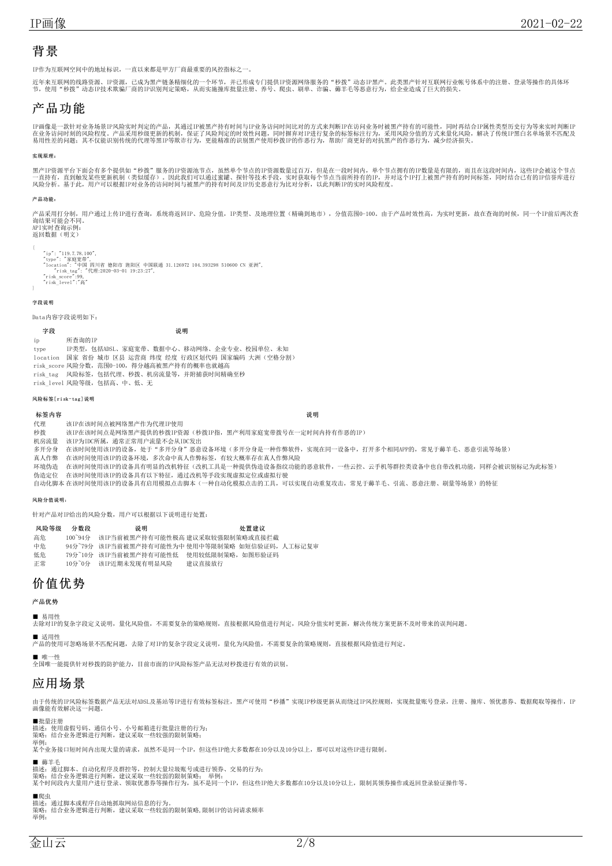# <span id="page-1-0"></span>背景

IP作为互联网空间中的地址标识,一直以来都是甲方厂商最重要的风控指标之

近年来互联网的线路资源、IP资源,已成为黑产链条精细化的一个环节,并已形成专门提供IP资源网络服务的"秒拨"动态IP黑产。此类黑产针对互联网行业帐号体系中的注册、登录等操作的具体环<br>节,使用"秒拨"动态IP技术欺骗厂商的IP识别判定策略,从而实施撞库批量注册、养号、爬虫、刷单、诈骗、薅羊毛等恶意行为,给企业造成了巨大的损失。

# <span id="page-1-1"></span>产品功能

IP画像是一款针对业务场景IP风险实时判定的产品,其通过IP被黑产持有时间与IP业务访问时间比对的方式来判断IP在访问业务时被黑产持有的可能性,同时再结合IP属性类型历史行为等来实时判断IP<br>在业务访问时刻的风险程度。产品采用秒级更新的机制,保证了风险判定的时效性问题,同时摒弃对IP进行复杂的标签标注行为,采用风险分值的方式来量化风险,解决了传统IP黑白名单场景不匹配及<br>易用性差的问题,其不仅能识别传统的代理等黑IP等欺诈行为,更能精准的

### <span id="page-1-2"></span>实现原理:

黑产IP资源平台下面会有多个提供如"秒拨"服务的IP资源池节点,虽然单个节点的IP资源数量过百万,但是在一段时间内,单个节点拥有的IP数量是有限的,而且在这段时间内,这些IP会被这个节点<br>一直持有,直到触发某些更新机制(类似缓存)。因此我们可以通过蜜罐、探针等技术手段,实时获取每个节点当前所持有的IP,并对这个IP打上被黑产持有的时间标签,同时结合已有的IP信誉库进行<br>风险分析。基于此,用户可以根据IP对业务的访问时间与被黑产的持有时间及

#### <span id="page-1-3"></span>产品功能:

。<br>"品采用打分制,用户通过上传IP进行查询,系统将返回IP、危险分值,IP类型、及地理位置(精确到地市),分值范围0-100。由于产品时效性高,为实时更新,故在查询的时候,同一个IP前后两次查 询结果可能会不同。 API实时查询示例: 返回数据(明文)

{

- "ip": "119.7.78.100",<br>"type": "家庭宽带",<br>"Location": "宇国 四川省 德阳市 旌阳区 中国联通 31.126972 104.393298 510600 CN 亚洲",<br>"risk\_score":99,<br>"risk\_level":"高"<br>"risk\_level":"高"
- 

## <span id="page-1-4"></span>字段说明

Data内容字段说明如下:

字段 しゅうしゃ しゅうしゃ こうしゅう こうこう 説明 しゅうしょく ip 所查询的IP type IP类型,包括ADSL、家庭宽带、数据中心、移动网络、企业专业、校园单位、未知 location 国家 省份 城市 区县 运营商 纬度 经度 行政区划代码 国家编码 大洲(空格分割) risk\_score 风险分数,范围0-100,得分越高被黑产持有的概率也就越高 risk\_tag 风险标签,包括代理、秒拨、机房流量等,并附捕获时间精确至秒 risk\_level 风险等级,包括高、中、低、无

#### <span id="page-1-5"></span>风险标签[risk-tag]说明

#### 标签内容 しょうしょう しょうしょう しゅうしょう しゅうしょく しゅうしゅん こうしゅう こうしゅう こうしゅう こうしゅう

代理 该IP在该时间点被网络黑产作为代理IP使用 秒拨 该IP在该时间点是网络黑产提供的秒拨IP资源(秒拨IP指,黑产利用家庭宽带拨号在一定时间内持有作恶的IP) 机房流量 该IP为IDC所属,通常正常用户流量不会从IDC发出 多开分身 在该时间使用该IP的设备,处于"多开分身"恶意设备环境(多开分身是一种作弊软件,实现在同一设备中,打开多个相同APP的,常见于薅羊毛、恶意引流等场景) 真人作弊 在该时间使用该IP的设备环境,多次命中真人作弊标签,有较大概率存在真人作弊风险 环境伪造 在该时间使用该IP的设备具有明显的改机特征(改机工具是一种提供伪造设备指纹功能的恶意软件,一些云控、云手机等群控类设备中也自带改机功能,同样会被识别标记为此标签) 伪造定位 在该时间使用该IP的设备具有以下特征,通过改机等手段实现虚拟定位或虚拟行驶 自动化脚本 在该时间使用该IP的设备具有启用模拟点击脚本(一种自动化模拟点击的工具,可以实现自动重复攻击,常见于薅羊毛、引流、恶意注册、刷量等场景)的特征

#### <span id="page-1-6"></span>风险分值说明:

针对产品对IP给出的风险分数,用户可以根据以下说明进行处置:

| 风险等级 | 分数段               | 说明                     | 外置建议                                           |
|------|-------------------|------------------------|------------------------------------------------|
| 高危   | $100^{\circ}94\%$ |                        | 该IP当前被黑产持有可能性极高 建议采取较强限制策略或直接拦截                |
| 中危   |                   |                        | 94分~79分 该IP当前被黑产持有可能性为中 使用中等限制策略 如短信验证码,人工标记复审 |
| 低危   |                   | 79分~10分 该IP当前被黑产持有可能性低 | 使用较低限制策略,如图形验证码                                |
| 正常   | 10分~0分            | 该IP近期未发现有明显风险          | 建议直接放行                                         |

# <span id="page-1-7"></span>价值优势

<span id="page-1-8"></span>产品优势

■ 易用性

去除对IP的复杂字段定义说明,量化风险值,不需要复杂的策略规则,直接根据风险值进行判定,风险分值实时更新,解决传统方案更新不及时带来的误判问题。

■ 适用性 产品的使用可忽略场景不匹配问题,去除了对IP的复杂字段定义说明,量化为风险值,不需要复杂的策略规则,直接根据风险值进行判定。

■ 唯一性<br>全国唯一能提供针对秒拨的防护能力,目前市面的IP风险标签产品无法对秒拨进行有效的识别。

## <span id="page-1-9"></span>应用场景

由于传统的IP风险标签数据产品无法对ADSL及基站等IP进行有效标签标注,黑产可使用"秒播"实现IP秒级更新从而绕过IP风控规则,实现批量账号登录,注册、撞库、领优惠券、数据爬取等操作,IP 画像能有效解决这一问题。

■批量注册

描述:使用虚假号码、通信小号、小号邮箱进行批量注册的行为;<br>策略:结合业务逻辑进行判断,建议采取一些较强的限制策略;

举例:

某个业务接口短时间内出现大量的请求, 虽然不是同一个IP, 但这些IP绝大多数都在10分以及10分以上, 那可以对这些IP进行限制。

■ 薅羊毛

描述: 通过脚本、自动化程序及群控等,控制大量垃圾账号或进行领券、交易的行为;<br>策略: 结合业务逻辑进行判断; 建议采取一些较弱的限制策略; 举例:<br>某个时间段内大量用户进行登录、领取优惠券等操作行为,虽不是同一个IP,但这些IP绝大多数都在10分以及10分以上,限制其领券操作或返回登录验证操作等。

■爬虫

描述: 通过脚本或程序自动地抓取网站信息的行为。<br>策略: 结合业务逻辑进行判断,建议采取一些较弱的限制策略,限制IP的访问请求频率 举例: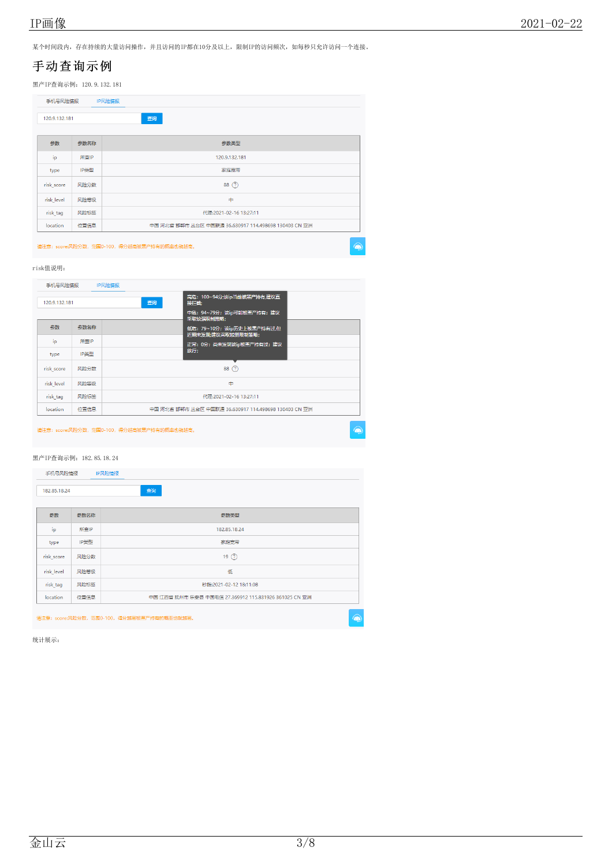某个时间段内,存在持续的大量访问操作,并且访问的IP都在10分及以上,限制IP的访问频次,如每秒只允许访问一个连接。

# <span id="page-2-0"></span>手动查询示例

黑产IP查询示例:120.9.132.181

| 查询<br>120.9.132.181<br>参数<br>参数名称<br>参数类型<br>ip<br>所查IP<br>120.9.132.181<br>IP类型<br>家庭宽带<br>type<br>88 (?)<br>risk_score<br>风险分数<br>\$<br>risk_level<br>风险等级 | 手机号风险情报<br>IP风险情报 |  |  |  |  |  |  |
|--------------------------------------------------------------------------------------------------------------------------------------------------------------|-------------------|--|--|--|--|--|--|
|                                                                                                                                                              |                   |  |  |  |  |  |  |
|                                                                                                                                                              |                   |  |  |  |  |  |  |
|                                                                                                                                                              |                   |  |  |  |  |  |  |
|                                                                                                                                                              |                   |  |  |  |  |  |  |
|                                                                                                                                                              |                   |  |  |  |  |  |  |
|                                                                                                                                                              |                   |  |  |  |  |  |  |
|                                                                                                                                                              |                   |  |  |  |  |  |  |
| risk_tag<br>风险标签<br>代理:2021-02-16 13:27:11                                                                                                                   |                   |  |  |  |  |  |  |
| 位置信息<br>中国 河北省 邯郸市 丛台区 中国联通 36.630917 114.498698 130403 CN 亚洲<br>location                                                                                    |                   |  |  |  |  |  |  |

-<br>请注意: score:风险分数, 范围0-100, 得分越高被黑产持有的概率也就越高。

 $\circledast$ 

## risk值说明:

| 手机号风险情报       |      | IP风险情报                                                |  |  |  |
|---------------|------|-------------------------------------------------------|--|--|--|
| 120.9.132.181 |      | 高危: 100~94分;该ip当前被黑产持有,建议直<br>查询<br>接拦截               |  |  |  |
|               |      | 中危: 94~79分; 该ip可能被黑产持有; 建议<br>采取较强限制策略;               |  |  |  |
| 参数            | 参数名称 | 低危: 79~10分; 该ip历史上被黑产持有过,但<br>近期未发现:建议采取较弱限制策略;       |  |  |  |
| ip            | 所查IP | 正常: 0分; 尚未发现该ip被黑产持有过; 建议                             |  |  |  |
| type          | IP举型 | 放行:                                                   |  |  |  |
| risk score    | 风险分数 | 88(?)                                                 |  |  |  |
| risk level    | 风险等级 | ₿                                                     |  |  |  |
| risk tag      | 风险标签 | 代理:2021-02-16 13:27:11                                |  |  |  |
| location      | 位置信息 | 中国 河北省 邯郸市 从台区 中国联通 36.630917 114.498698 130403 CN 亚洲 |  |  |  |
|               |      |                                                       |  |  |  |

请注意:score:风险分数,范围0-100,得分越高被黑产持有的概率也就越高。

## 黑产IP查询示例:182.85.18.24

| 182,85,18,24 |      | 查询                                                    |  |
|--------------|------|-------------------------------------------------------|--|
| 参数           | 参数名称 | 参数类型                                                  |  |
| ip           | 所查IP | 182.85.18.24                                          |  |
| type         | IP类型 | 家庭宽带                                                  |  |
| risk_score   | 风险分数 | 19(2)                                                 |  |
| risk_level   | 风险等级 | 低                                                     |  |
| risk_tag     | 风险标签 | 秒拨:2021-02-12 18:11:08                                |  |
| location     | 位置信息 | 中国 江西省 抚州市 乐安县 中国电信 27.369912 115.831926 361025 CN 亚洲 |  |

统计展示: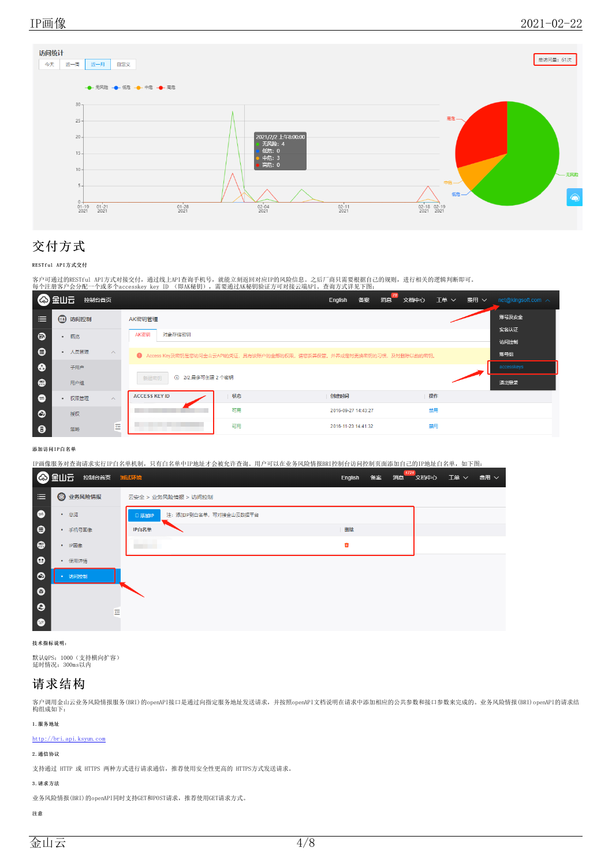

# <span id="page-3-0"></span>交付方式

## <span id="page-3-1"></span>RESTful API方式交付

客户可通过的RESTful API方式对接交付,通过线上API查询手机号,就能立刻返回对应IP的风险信息。之后厂商只需要根据自己的规则,进行相关的逻辑判断即可。<br>每个注册客户会分配一个或多个accesskey key ID (即AK秘钥),需要通过AK秘钥验证方可对接云端API。查询方式详见下图:

|            | ■ ◎ 畫山三<br>控制台首页              |                           |    | English                                                                 | 文档中心<br>消息<br>备案 | 工单 ><br>费用 ∨ | net@kingsoft.com $\sim$ |
|------------|-------------------------------|---------------------------|----|-------------------------------------------------------------------------|------------------|--------------|-------------------------|
| 三          | <b>[1] 访问控制</b>               | AK密钥管理                    |    |                                                                         |                  |              | 账号及安全                   |
| ❸          | 概览<br>$\bullet$               | AK密钥<br>对象存储密钥            |    |                                                                         |                  |              | 实名认证<br>访问控制            |
| $\bullet$  | • 人员管理<br>$\wedge$            |                           |    | 1 Access Key及密钥是您访问金山云API的凭证,具有该账户的全部的权限,请您妥善保管。并养成定时更换密钥的习惯,及时删除以前的密钥。 |                  |              | 账号组                     |
| $\bullet$  | 子用户                           |                           |    |                                                                         |                  |              | accesskeys              |
| <b>. ඔ</b> | 用户组                           | 1 2/2,最多可创建 2 个密钥<br>新建密钥 |    |                                                                         |                  |              | 退出登录                    |
| $\bullet$  | 权限管理<br>$\wedge$<br>$\bullet$ | <b>ACCESS KEY ID</b>      | 状态 | 创建时间                                                                    |                  | 操作           |                         |
| $\bullet$  | 授权                            |                           | 可用 | 2016-09-27 14:43:27                                                     |                  | 禁用           |                         |
| $\bullet$  | 굔<br>策略                       |                           | 可用 | 2016-11-23 14:41:32                                                     |                  | 禁用           |                         |

## <span id="page-3-2"></span>添加访问IP白名单

IP画像服务对查询请求实行IP白名单机制,只有白名单中IP地址才会被允许查询。用户可以在业务风险情报BRI控制台访问控制页面添加自己的IP地址白名单,如下图:

|            | ◎ 金山云<br>控制台首页 测试环境 |                                   | English | 备案 | 1721<br>消息 | 文档中心 | 工单 > | 费用 ∨ |
|------------|---------------------|-----------------------------------|---------|----|------------|------|------|------|
| 津          | <b>@ 业务风险情报</b>     | 云安全 > 业务风险情报 > 访问控制               |         |    |            |      |      |      |
| $\bullet$  | • 总览                | 注: 添加IP到白名单, 可对接金山云数据平台<br>□ 添加IP |         |    |            |      |      |      |
| $\bullet$  | • 手机号画像             | IP白名单                             | 删除      |    |            |      |      |      |
| $\bigcirc$ | • IP画像              |                                   | ŵ       |    |            |      |      |      |
| $\bullet$  | • 使用详情              |                                   |         |    |            |      |      |      |
| $\bullet$  | 访问控制                |                                   |         |    |            |      |      |      |
| $\odot$    |                     |                                   |         |    |            |      |      |      |
| $\Theta$   | 룐                   |                                   |         |    |            |      |      |      |
| $\bullet$  |                     |                                   |         |    |            |      |      |      |

## <span id="page-3-3"></span>技术指标说明:

默认QPS:1000(支持横向扩容) 延时情况:300ms以内

# <span id="page-3-4"></span>请求结构

客户调用金山云业务风险情报服务(BRI)的openAPI接口是通过向指定服务地址发送请求,并按照openAPI文档说明在请求中添加相应的公共参数和接口参数来完成的。业务风险情报(BRI)openAPI的请求结<br>构组成如下:

## <span id="page-3-5"></span>1.服务地址

<http://bri.api.ksyun.com>

## <span id="page-3-6"></span>2.通信协议

支持通过 HTTP 或 HTTPS 两种方式进行请求通信,推荐使用安全性更高的 HTTPS方式发送请求。

## <span id="page-3-7"></span>3.请求方法

业务风险情报(BRI)的openAPI同时支持GET和POST请求,推荐使用GET请求方式。

## <span id="page-3-8"></span>注意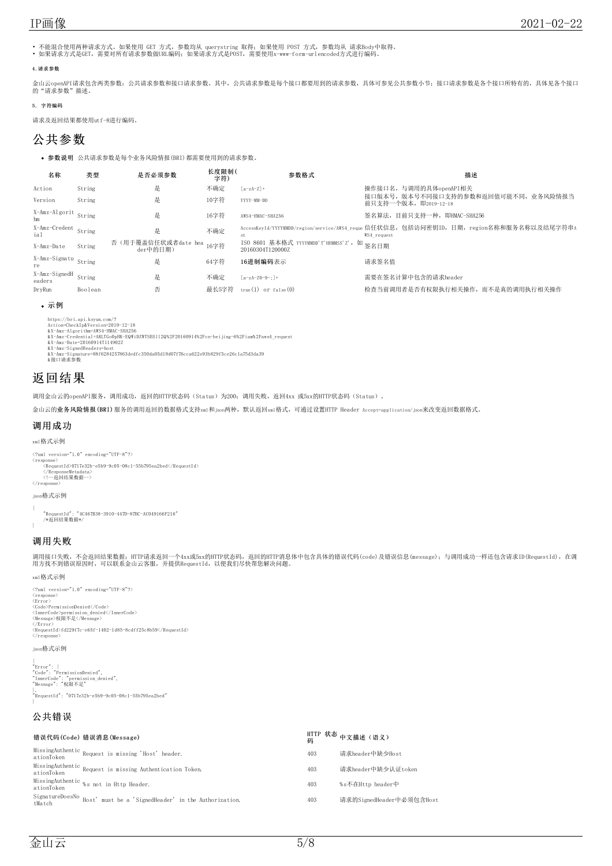• 不能混合使用两种请求方式。如果使用 GET 方式,参数均从 querystring 取得; 如果使用 POST 方式,参数均从 请求Body中取得。<br>• 如果请求方式是GET,需要对所有请求参数做URL编码;如果请求方式是POST,需要使用x-www-form-urlencoded方式进行编码。

## <span id="page-4-0"></span>4.请求参数

金山云openAPI请求包含两类参数: 公共请求参数和接口请求参数。其中,公共请求参数是每个接口都要用到的请求参数,具体可参见公共参数小节;接口请求参数是各个接口所特有的,具体见各个接口<br>的"请求参数"描述。

## <span id="page-4-1"></span>5. 字符编码

请求及返回结果都使用utf-8进行编码。

# <span id="page-4-2"></span>公共参数

参数说明 公共请求参数是每个业务风险情报(BRI)都需要使用到的请求参数。

| 名称                          | 类型      | 是否必须参数                                | 长度限制(<br>字符) | 参数格式                                                           | 描述                                                                                                    |
|-----------------------------|---------|---------------------------------------|--------------|----------------------------------------------------------------|-------------------------------------------------------------------------------------------------------|
| Action                      | String  | 是                                     | 不确定          | $[a-zA-Z]+$                                                    | 操作接口名, 与调用的具体openAPI相关                                                                                |
| Version                     | String  | 是                                     | 10字符         | YYYY-MM-DD                                                     | 接口版本号, 版本号不同接口支持的参数和返回值可能不同, 业务风险情报当<br>前只支持一个版本, 即2019-12-18                                         |
| X-Amz-Algorit String<br>hm  |         | 是                                     | 16字符         | AWS4-HMAC-SHA256                                               | 签名算法, 目前只支持一种, 即HMAC-SHA256                                                                           |
| X-Amz-Credent String<br>ial |         | 是                                     | 不确定          | st                                                             | AccessKeyId/YYYYMMDD/region/service/AWS4 reque 信任状信息,包括访问密钥ID,日期,region名称和服务名称以及结尾字符串A<br>WS4 request |
| X-Amz-Date                  | String  | 否 (用于覆盖信任状或者date hea 16字符<br>der中的日期) |              | ISO 8601 基本格式 YYYYMMDD'T'HHMMSS'Z', 如 签名日期<br>20160304T120000Z |                                                                                                       |
| X-Amz-Signatu String<br>re  |         | 是                                     | 64字符         | 16讲制编码表示                                                       | 请求签名值                                                                                                 |
| X-Amz-SignedH<br>eaders     | String  | 是                                     | 不确定          | $[a-zA-Z0-9-1]+$                                               | 需要在签名计算中包含的请求header                                                                                   |
| DrvRun                      | Boolean | 否                                     | 最长5字符        | $true(1)$ or $false(0)$                                        | 检查当前调用者是否有权限执行相关操作, 而不是真的调用执行相关操作                                                                     |

## <span id="page-4-3"></span>示例

https://bri.api.ksyun.com/?<br>Action=CheckIp&Version=2019-12-18<br>&X-Amz-Algorithm=AWS4-HMAC-SHA256<br>&X-Amz-Algorithm=AWS4-HMAC-SHA256<br>&X-Amz-SignedHeaders=host<br>&X-Amz-SignedHeaders=host<br>&X-Amz-SignedHeaders=host

&X-Amz-Signature=88f6284257863dedfc350da05d19d07f76cca622e93b829f5ce26c1a75d3da39 &接口请求参数

# <span id="page-4-4"></span>返回结果

调用金山云的openAPI服务,调用成功,返回的HTTP状态码(Status)为200;调用失败,返回4xx 或5xx的HTTP状态码(Status)。

金山云的业务风险情报(BRI)服务的调用返回的数据格式支持xml和json两种,默认返回xml格式,可通过设置HTTP Header Accept=application/json来改变返回数据格式。

## <span id="page-4-5"></span>调用成功

xml格式示例

<?xml version="1.0" encoding="UTF-8"?> <response>

<RequestId>0717e32b-e5b9-9c05-08c1-55b795ea2bed</RequestId> </ResponseMetadata> <!--返回结果数据-->  $\frac{1}{\sqrt{r}}$ 

json格式示例

{ "RequestId": "4C467B38-3910-447D-87BC-AC049166F216" /\*返回结果数据\*/

## <span id="page-4-6"></span>调用失败

调用接口失败,不会返回结果数据;HTTP请求返回一个4xx或5xx的HTTP状态码,返回的HTTP消息体中包含具体的错误代码(code)及错误信息(message);与调用成功一样还包含请求ID(RequestId),在调<br>用方找不到错误原因时,可以联系金山云客服,并提供RequestId,以便我们尽快帮您解决问题。

xml格式示例

 $\langle ?\text{xml version}="1.0"$  encoding="UTF-8"?> <response> <Error> <Code>PermissionDenied</Code><br><InnerCode>permission\_denied</InnerCode><br><Message>权限不足</Message><br></Error> <RequestId>fd229f7c-e65f-1402-1d85-8cdff25c8b59</RequestId> </response>

json格式示例

{<br>"Error": {<br>"Code": "PermissionDenied",<br>"Message": "杖限不足"<br>"Message": "杖限不足" "RequestId": "0717e32b-e5b9-9c05-08c1-55b795ea2bed" }

## <span id="page-4-7"></span>公共错误

| 错误代码(Code)错误消息(Message)                                                           |     | HTTP 状态 中文描述 (语义)<br>码   |
|-----------------------------------------------------------------------------------|-----|--------------------------|
| MissingAuthentic Request is missing 'Host' header.<br>ationToken                  | 403 | 请求header中缺少Host          |
| MissingAuthentic Request is missing Authentication Token.<br>ationToken           | 403 | 请求header中缺少认证token       |
| MissingAuthentic %s not in Http Header.<br>ationToken                             | 403 | %s不在Http header中         |
| SignatureDoesNo<br>Host' must be a 'SignedHeader' in the Authorization.<br>tMatch | 403 | 请求的SignedHeader中必须包含Host |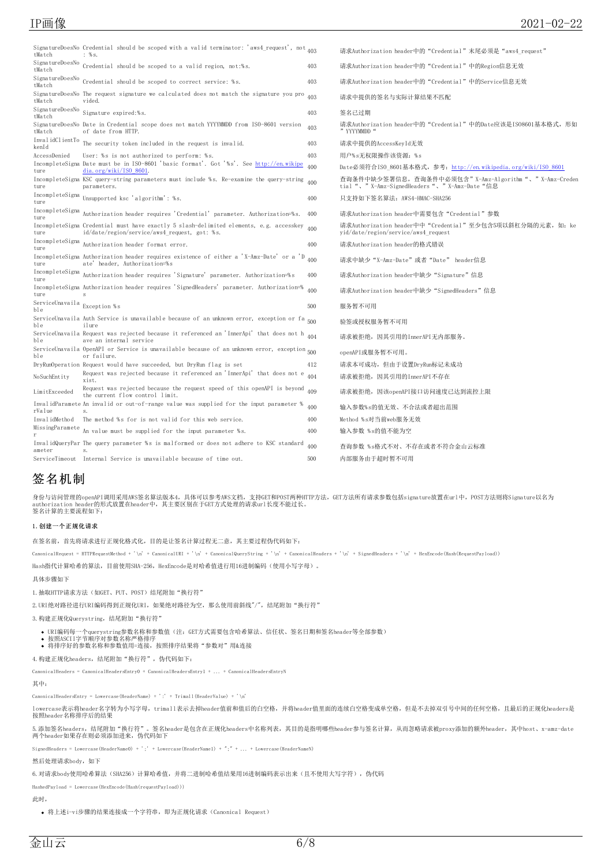| tMatch                              | SignatureDoesNo Credential should be scoped with a valid terminator: 'aws4_request', not $_{403}$<br>: %s.                               |     | 请求Authorization header中的"Credential"末尾必须是"aws4 request"                                               |
|-------------------------------------|------------------------------------------------------------------------------------------------------------------------------------------|-----|-------------------------------------------------------------------------------------------------------|
| tMatch                              | SignatureDoesNo Credential should be scoped to a valid region, not:%s.                                                                   | 403 | 请求Authorization header中的"Credential"中的Region信息无效                                                      |
| tMatch                              | SignatureDoesNo Credential should be scoped to correct service: %s.                                                                      | 403 | 请求Authorization header中的"Credential"中的Service信息无效                                                     |
| tMatch                              | SignatureDoesNo The request signature we calculated does not match the signature you pro<br>vided.                                       | 403 | 请求中提供的签名与实际计算结果不匹配                                                                                    |
| SignatureDoesNo<br>tMatch           | Signature expired:%s.                                                                                                                    | 403 | 签名已过期                                                                                                 |
| tMatch                              | SignatureDoesNo Date in Credential scope does not match YYYYMMDD from ISO-8601 version<br>of date from HTTP.                             | 403 | 请求Authorization header中的"Credential"中的Date应该是IS08601基本格式,形如<br>" YYYYMMDD "                           |
| InvalidClientTo<br>kenId            | The security token included in the request is invalid.                                                                                   | 403 | 请求中提供的AccessKeyId无效                                                                                   |
| AccessDenied                        | User: %s is not authorized to perform: %s.                                                                                               | 403 | 用户%s无权限操作该资源: %s                                                                                      |
| ture                                | IncompleteSigna Date must be in ISO-8601 'basic format'. Got '%s'. See http://en.wikipe<br>dia.org/wiki/ISO 8601.                        | 400 | Date必须符合ISO 8601基本格式, 参考: http://en.wikipedia.org/wiki/ISO 8601                                       |
| ture                                | IncompleteSigna KSC query-string parameters must include %s. Re-examine the query-string 400<br>parameters.                              |     | 查询条件中缺少签署信息,查询条件中必须包含" X-Amz-Algorithm"、" X-Amz-Creden<br>tial "、"X-Amz-SignedHeaders"、"X-Amz-Date"信息 |
| IncompleteSigna<br>ture             | Unsupported ksc 'algorithm': %s.                                                                                                         | 400 | 只支持如下签名算法: AWS4-HMAC-SHA256                                                                           |
| IncompleteSigna<br>ture             | Authorization header requires 'Credential' parameter. Authorization=%s.                                                                  | 400 | 请求Authorization header中需要包含"Credential"参数                                                             |
| ture                                | IncompleteSigna Credential must have exactly 5 slash-delimited elements, e.g. accesskey<br>id/date/region/service/aws4 request, got: %s. | 400 | 请求Authorization header中中"Credential"至少包含5项以斜杠分隔的元素, 如: ke<br>yid/date/region/service/aws4 request     |
| IncompleteSigna<br>ture             | Authorization header format error.                                                                                                       | 400 | 请求Authorization header的格式错误                                                                           |
| ture                                | IncompleteSigna Authorization header requires existence of either a 'X-Amz-Date' or a 'D<br>ate' header, Authorization=%s                | 400 | 请求中缺少"X-Amz-Date"或者"Date" header信息                                                                    |
| IncompleteSigna<br>ture             | Authorization header requires 'Signature' parameter. Authorization=%s                                                                    | 400 | 请求Authorization header中缺少"Signature"信息                                                                |
| ture                                | IncompleteSigna Authorization header requires 'SignedHeaders' parameter. Authorization=% 400<br>s                                        |     | 请求Authorization header中缺少"SignedHeaders"信息                                                            |
| ServiceUnavaila Exception %s<br>ble |                                                                                                                                          | 500 | 服务暂不可用                                                                                                |
| ble                                 | ServiceUnavaila Auth Service is unavailable because of an unknown error, exception or fa 500<br>ilure                                    |     | 验签或授权服务暂不可用                                                                                           |
| ble                                 | ServiceUnavaila Request was rejected because it referenced an 'InnerApi' that does not h $_{404}$<br>ave an internal service             |     | 请求被拒绝, 因其引用的InnerAPI无内部服务。                                                                            |
| ble                                 | ServiceUnavaila OpenAPI or Service is unavailable because of an unknown error, exception 500<br>or failure.                              |     | openAPI或服务暂不可用。                                                                                       |
|                                     | DryRunOperation Request would have succeeded, but DryRun flag is set                                                                     | 412 | 请求本可成功, 但由于设置DryRun标记未成功                                                                              |
| NoSuchEntity                        | Request was rejected because it referenced an 'InnerApi' that does not e<br>xist.                                                        | 404 | 请求被拒绝, 因其引用的InnerAPI不存在                                                                               |
| LimitExceeded                       | Request was rejected because the request speed of this openAPI is beyond<br>the current flow control limit.                              | 409 | 请求被拒绝, 因该openAPI接口访问速度已达到流控上限                                                                         |
| rValue                              | InvalidParamete An invalid or out-of-range value was supplied for the input parameter %                                                  | 400 | 输入参数%s的值无效、不合法或者超出范围                                                                                  |
| InvalidMethod                       | The method %s for is not valid for this web service.                                                                                     | 400 | Method %s对当前web服务无效                                                                                   |
|                                     | $\emph{MissingParameter \&\small \texttt{An value must be supplied for the input parameter \%s.}}$                                       | 400 | 输入参数 %s的值不能为空                                                                                         |
| ameter                              | InvalidQueryPar The query parameter %s is malformed or does not adhere to KSC standard                                                   | 400 | 查询参数 %s格式不对、不存在或者不符合金山云标准                                                                             |
|                                     | ServiceTimeout Internal Service is unavailable because of time out.                                                                      | 500 | 内部服务由于超时暂不可用                                                                                          |

# <span id="page-5-0"></span>签名机制

身份与访问管理的openAPI调用采用AWS签名算法版本4,具体可以参考AWS文档,支持GET和POST两种HTTP方法,GET方法所有请求参数包括signature放置在url中,POST方法则将Signature以名为 authorization header的形式放置在header中,其主要区别在于GET方式处理的请求url长度不能过长。 签名计算的主要流程如下:

## <span id="page-5-1"></span>1.创建一个正规化请求

在签名前,首先将请求进行正规化格式化,目的是让签名计算过程无二意,其主要过程伪代码如下:

 $\label{eq:1} \text{C} \text{anonicalRequest} = \text{HTTPRequestWeb} + \text{'\texttt{n'} + \texttt{C} \text{anonicalURLI + '}\texttt{n'} + \texttt{C} \text{anonicalQueryString + '}\texttt{n'} + \texttt{C} \text{anonicalHeaders + '}\texttt{n'} + \texttt{SignedHeaders + '}\texttt{n'} + \texttt{H} \texttt{x}\\ \texttt{D} \texttt{C} \texttt{D} \texttt{C} \texttt{D} \texttt{D} \texttt{D} \texttt{A} \texttt{D} \texttt{D} \texttt{A} \texttt{D} \texttt{D} \texttt{A} \texttt{D} \text$ 

Hash指代计算哈希的算法, 目前使用SHA-256, HexEncode是对哈希值进行用16进制编码(使用小写字母)。

#### 具体步骤如下

1.抽取HTTP请求方法(如GET、PUT、POST)结尾附加"换行符"

2. URI绝对路径进行URI编码得到正规化URI, 如果绝对路径为空, 那么使用前斜线"/", 结尾附加"换行符"

3.构建正规化Querystring,结尾附加"换行符"

URI编码每一个querystring参数名称和参数值(注: GET方式需要包含哈希算法、信任状、签名日期和签名header等全部参数)<br>按照ASCII字节顺序对参数名称严格排序<br>将排序好的参数名称和参数值用=连接,按照排序结果将"参数对"用&连接

4. 构建正规化headers, 结尾附加"换行符", 伪代码如下:

CanonicalHeaders = CanonicalHeadersEntry0 + CanonicalHeadersEntry1 + ... + CanonicalHeadersEntryN

## 其中:

CanonicalHeadersEntry = Lowercase(HeaderName) + ':' + Trimall(HeaderValue) + '\n'

lowercase表示将header名字转为小写字母,trimall表示去掉header值前和值后的白空格,并将header值里面的连续白空格变成单空格,但是不去掉双引号中间的任何空格,且最后的正规化headers是 按照header名称排序后的结果

5.添加签名headers,结尾附加"换行符"。签名header是包含在正规化headers中名称列表,其目的是指明哪些header参与签名计算,从而忽略请求被proxy添加的额外header,其中host、x-amz-date o. https://www.pincater.st.com/pincater.com/pincater.com/pincater.com/pincater.com/<br>两个header如果存在则必须添加进来, 伪代码如下

SignedHeaders = Lowercase(HeaderName0) + ';' + Lowercase(HeaderName1) + ";" + ... + Lowercase(HeaderNameN)

#### 然后处理请求body,如下

6. 对请求body使用哈希算法(SHA256)计算哈希值,并将二进制哈希值结果用16进制编码表示出来(且不使用大写字符),伪代码

HashedPayload = Lowercase(HexEncode(Hash(requestPayload)))

此时,

将上述i-vi步骤的结果连接成一个字符串,即为正规化请求(Canonical Request)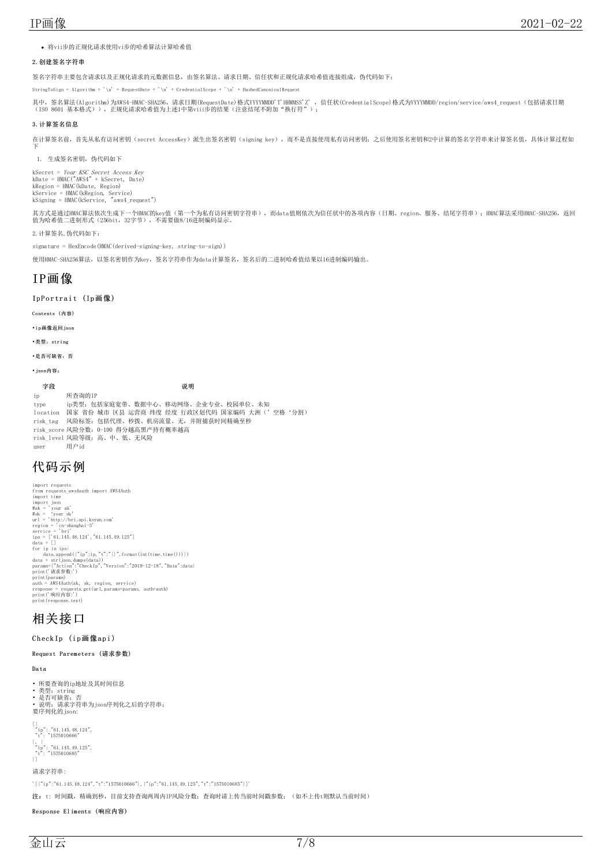将vii步的正规化请求使用vi步的哈希算法计算哈希值

## <span id="page-6-0"></span>2.创建签名字符串

签名字符串主要包含请求以及正规化请求的元数据信息,由签名算法、请求日期、信任状和正规化请求哈希值连接组成,伪代码如下:

StringToSign = Algorithm + '\n' + RequestDate + '\n' + CredentialScope + '\n' + HashedCanonicalRequest

其中,签名算法(Algorithm)为AWS4-HMAC-SHA256,请求日期(RequestDate)格式YYYYMMDD'T'HHMMSS'Z' ,信任状(CredentialScope)格式为YYYYMMDD/region/service/aws4\_request(包括请求日期<br>(ISO 8601 基本格式)),正规化请求哈希值为上述1中第viii步的结果(注意结尾不附加"换行符");

## <span id="page-6-1"></span>3.计算签名信息

在计算签名前,首先从私有访问密钥(secret AccessKey)派生出签名密钥(signing key),而不是直接使用私有访问密钥;之后使用签名密钥和2中计算的签名字符串来计算签名值,具体计算过程如 下

1. 生成签名密钥, 伪代码如下

kSecret = *Your KSC Secret Access Key*<br>kDate = HMAC("AWS4" + kSecret, Date)<br>kRegion = HMAC(kDate, Region)<br>kService = HMAC(kRegion, Service)<br>kSigning = HMAC(kService, "aws4\_request")

其方式是通过HMAC算法依次生成下一个HMAC的key值(第一个为私有访问密钥字符串),而data值则依次为信任状中的各项内容(日期、region、服务、结尾字符串);HMAC算法采用HMAC-SHA256,返回<br>值为哈希值二进制形式(256bit,32字节),不需要做8/16进制编码显示。

2.计算签名,伪代码如下:

signature = HexEncode(HMAC(derived-signing-key, string-to-sign))

使用HMAC-SHA256算法, 以签名密钥作为key, 签名字符串作为data计算签名, 签名后的二进制哈希值结果以16进制编码输出。

# <span id="page-6-2"></span>IP画像

## <span id="page-6-3"></span>IpPortrait (Ip画像)

<span id="page-6-4"></span>Contents (内容)

<span id="page-6-5"></span>•ip画像返回json

<span id="page-6-6"></span>• 类型: string

<span id="page-6-7"></span>•是否可缺省:否

<span id="page-6-8"></span>•json内容:

字段 しゅうしゃ しゅうしゃ こうしゅう こうこうしゅう 説明

ip 所查询的IP type ip类型:包括家庭宽带、数据中心、移动网络、企业专业、校园单位、未知 location 国家 省份 城市 区县 运营商 纬度 经度 行政区划代码 国家编码 大洲('空格'分割) risk\_tag 风险标签:包括代理、秒拨、机房流量、无,并附捕获时间精确至秒 risk\_score 风险分数:0-100 得分越高黑产持有概率越高 risk\_level 风险等级:高、中、低、无风险 user 用户id

# <span id="page-6-9"></span>代码示例

import requests<br>
import transactor (NS4Auth mapport AWS4Auth mapport time<br>
import is<br>  $\# \texttt{ak} = \ { \ } \texttt{your} \ \texttt{ak'} \$ <br>  $\# \texttt{ak} = \ { \ } \texttt{your} \ \texttt{ak'} \$ <br>  $\texttt{url} = \ { \ } \texttt{http://bri.api.ksym.com'} \ \texttt{very} \ \texttt{very} \ \texttt{very} \ \texttt{very} \ \texttt{very} \ \texttt{very} \ \texttt{$ 

# <span id="page-6-10"></span>相关接口

<span id="page-6-11"></span>Check Ip (ip画像api)

#### <span id="page-6-12"></span>Request Pa rem eters (请求参数)

<span id="page-6-13"></span>Da ta

- 所要查询的ip地址及其时间信息
- 
- 
- 类型:string 是否可缺省:否 说明:请求字符串为json序列化之后的字符串; 要序列化的json:

[{<br>"ip": "61.145.48.124",<br>"t": "1575010666"<br>}, { "ip": "61.145.49.125",<br>"t": "1575010685"<br>}]

请求字符串:

'[{"ip":"61.145.48.124","t":"1575010666"},{"ip":"61.145.49.125","t":"1575010685"}]'

注: t: 时间戳,精确到秒,目前支持查询两周内IP风险分数;查询时请上传当前时间戳参数; (如不上传t则默认当前时间)

<span id="page-6-14"></span>Response Eliments (响应内容)